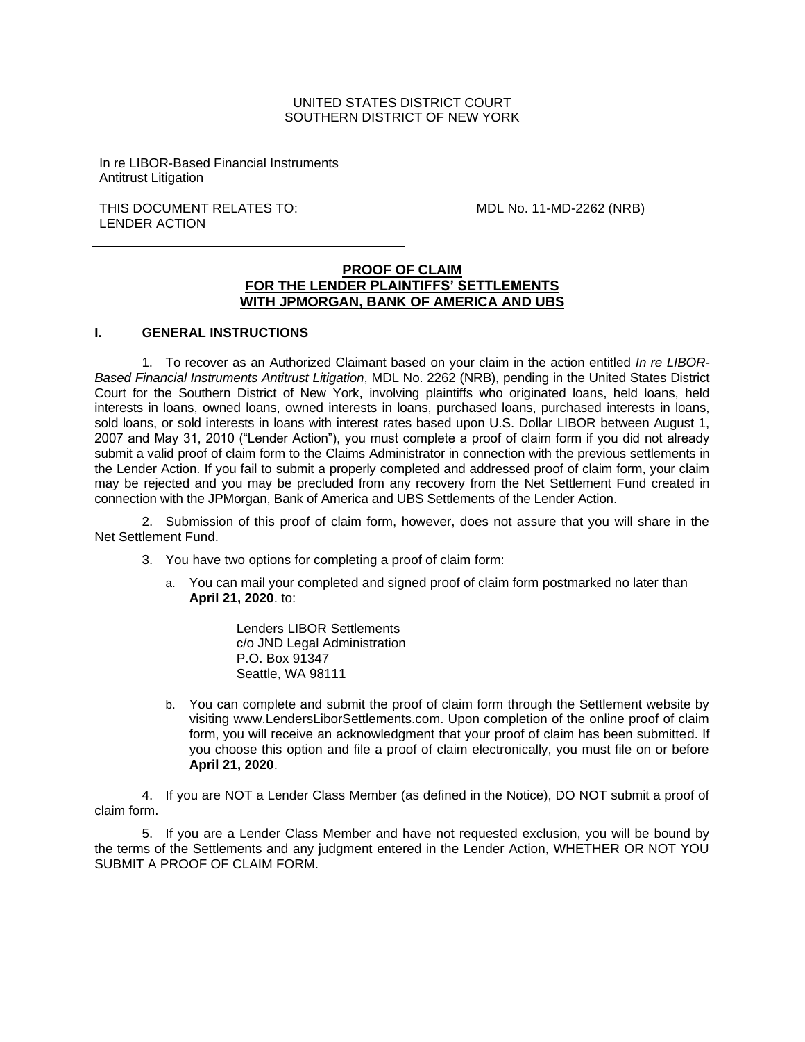### UNITED STATES DISTRICT COURT SOUTHERN DISTRICT OF NEW YORK

In re LIBOR-Based Financial Instruments Antitrust Litigation

THIS DOCUMENT RELATES TO: LENDER ACTION

MDL No. 11-MD-2262 (NRB)

# **PROOF OF CLAIM FOR THE LENDER PLAINTIFFS' SETTLEMENTS WITH JPMORGAN, BANK OF AMERICA AND UBS**

#### **I. GENERAL INSTRUCTIONS**

1. To recover as an Authorized Claimant based on your claim in the action entitled *In re LIBOR-Based Financial Instruments Antitrust Litigation*, MDL No. 2262 (NRB), pending in the United States District Court for the Southern District of New York, involving plaintiffs who originated loans, held loans, held interests in loans, owned loans, owned interests in loans, purchased loans, purchased interests in loans, sold loans, or sold interests in loans with interest rates based upon U.S. Dollar LIBOR between August 1, 2007 and May 31, 2010 ("Lender Action"), you must complete a proof of claim form if you did not already submit a valid proof of claim form to the Claims Administrator in connection with the previous settlements in the Lender Action. If you fail to submit a properly completed and addressed proof of claim form, your claim may be rejected and you may be precluded from any recovery from the Net Settlement Fund created in connection with the JPMorgan, Bank of America and UBS Settlements of the Lender Action.

2. Submission of this proof of claim form, however, does not assure that you will share in the Net Settlement Fund.

- 3. You have two options for completing a proof of claim form:
	- a. You can mail your completed and signed proof of claim form postmarked no later than **April 21, 2020**. to:

Lenders LIBOR Settlements c/o JND Legal Administration P.O. Box 91347 Seattle, WA 98111

b. You can complete and submit the proof of claim form through the Settlement website by visiting www.LendersLiborSettlements.com. Upon completion of the online proof of claim form, you will receive an acknowledgment that your proof of claim has been submitted. If you choose this option and file a proof of claim electronically, you must file on or before **April 21, 2020**.

4. If you are NOT a Lender Class Member (as defined in the Notice), DO NOT submit a proof of claim form.

5. If you are a Lender Class Member and have not requested exclusion, you will be bound by the terms of the Settlements and any judgment entered in the Lender Action, WHETHER OR NOT YOU SUBMIT A PROOF OF CLAIM FORM.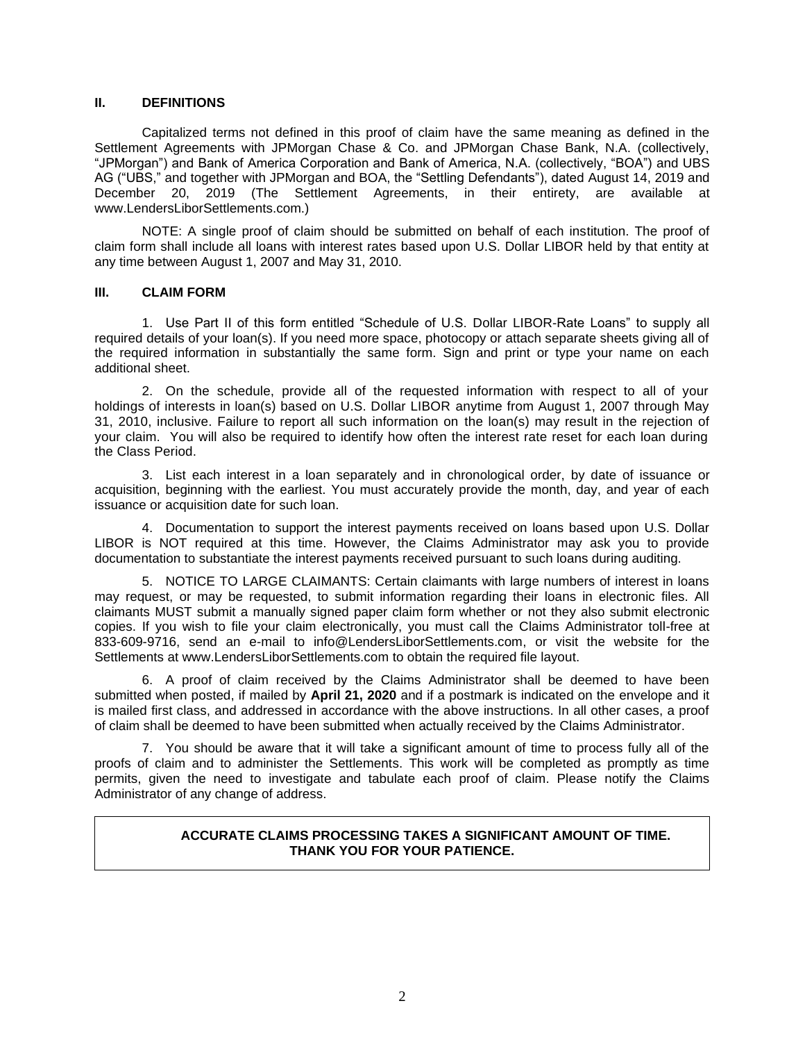#### **II. DEFINITIONS**

Capitalized terms not defined in this proof of claim have the same meaning as defined in the Settlement Agreements with JPMorgan Chase & Co. and JPMorgan Chase Bank, N.A. (collectively, "JPMorgan") and Bank of America Corporation and Bank of America, N.A. (collectively, "BOA") and UBS AG ("UBS," and together with JPMorgan and BOA, the "Settling Defendants"), dated August 14, 2019 and December 20, 2019 (The Settlement Agreements, in their entirety, are available at www.LendersLiborSettlements.com.)

NOTE: A single proof of claim should be submitted on behalf of each institution. The proof of claim form shall include all loans with interest rates based upon U.S. Dollar LIBOR held by that entity at any time between August 1, 2007 and May 31, 2010.

#### **III. CLAIM FORM**

1. Use Part II of this form entitled "Schedule of U.S. Dollar LIBOR-Rate Loans" to supply all required details of your loan(s). If you need more space, photocopy or attach separate sheets giving all of the required information in substantially the same form. Sign and print or type your name on each additional sheet.

2. On the schedule, provide all of the requested information with respect to all of your holdings of interests in loan(s) based on U.S. Dollar LIBOR anytime from August 1, 2007 through May 31, 2010, inclusive. Failure to report all such information on the loan(s) may result in the rejection of your claim. You will also be required to identify how often the interest rate reset for each loan during the Class Period.

3. List each interest in a loan separately and in chronological order, by date of issuance or acquisition, beginning with the earliest. You must accurately provide the month, day, and year of each issuance or acquisition date for such loan.

4. Documentation to support the interest payments received on loans based upon U.S. Dollar LIBOR is NOT required at this time. However, the Claims Administrator may ask you to provide documentation to substantiate the interest payments received pursuant to such loans during auditing.

5. NOTICE TO LARGE CLAIMANTS: Certain claimants with large numbers of interest in loans may request, or may be requested, to submit information regarding their loans in electronic files. All claimants MUST submit a manually signed paper claim form whether or not they also submit electronic copies. If you wish to file your claim electronically, you must call the Claims Administrator toll-free at 833-609-9716, send an e-mail to info@LendersLiborSettlements.com, or visit the website for the Settlements at www.LendersLiborSettlements.com to obtain the required file layout.

6. A proof of claim received by the Claims Administrator shall be deemed to have been submitted when posted, if mailed by **April 21, 2020** and if a postmark is indicated on the envelope and it is mailed first class, and addressed in accordance with the above instructions. In all other cases, a proof of claim shall be deemed to have been submitted when actually received by the Claims Administrator.

7. You should be aware that it will take a significant amount of time to process fully all of the proofs of claim and to administer the Settlements. This work will be completed as promptly as time permits, given the need to investigate and tabulate each proof of claim. Please notify the Claims Administrator of any change of address.

#### **ACCURATE CLAIMS PROCESSING TAKES A SIGNIFICANT AMOUNT OF TIME. THANK YOU FOR YOUR PATIENCE.**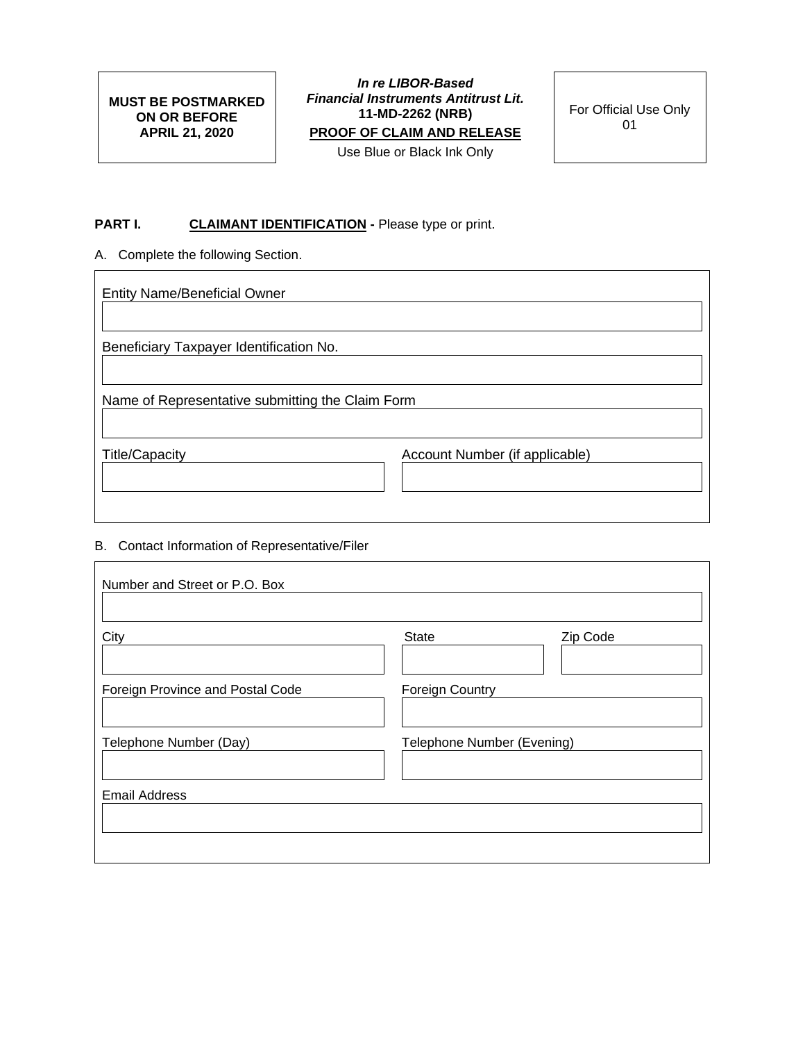**MUST BE POSTMARKED ON OR BEFORE APRIL 21, 2020**

*In re LIBOR-Based Financial Instruments Antitrust Lit.* **11-MD-2262 (NRB) PROOF OF CLAIM AND RELEASE** Use Blue or Black Ink Only

For Official Use Only 01

# **PART I. CLAIMANT IDENTIFICATION -** Please type or print.

A. Complete the following Section.

 $\overline{\Gamma}$ 

| <b>Entity Name/Beneficial Owner</b>              |                                |  |  |  |
|--------------------------------------------------|--------------------------------|--|--|--|
| Beneficiary Taxpayer Identification No.          |                                |  |  |  |
| Name of Representative submitting the Claim Form |                                |  |  |  |
| <b>Title/Capacity</b>                            | Account Number (if applicable) |  |  |  |

# B. Contact Information of Representative/Filer

| Number and Street or P.O. Box    |                            |          |
|----------------------------------|----------------------------|----------|
| City                             | <b>State</b>               | Zip Code |
|                                  |                            |          |
| Foreign Province and Postal Code | <b>Foreign Country</b>     |          |
|                                  |                            |          |
| Telephone Number (Day)           | Telephone Number (Evening) |          |
|                                  |                            |          |
| <b>Email Address</b>             |                            |          |
|                                  |                            |          |
|                                  |                            |          |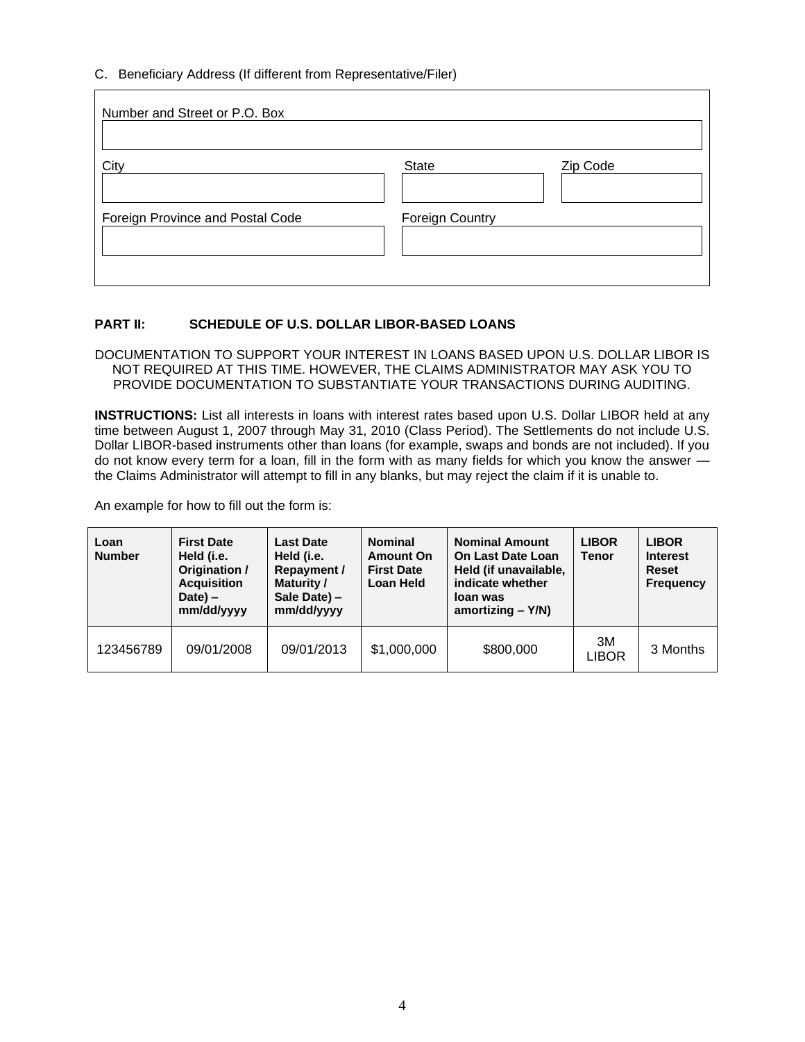# C. Beneficiary Address (If different from Representative/Filer)

| Number and Street or P.O. Box    |                        |          |
|----------------------------------|------------------------|----------|
| City                             | State                  | Zip Code |
| Foreign Province and Postal Code | <b>Foreign Country</b> |          |

# **PART II: SCHEDULE OF U.S. DOLLAR LIBOR-BASED LOANS**

DOCUMENTATION TO SUPPORT YOUR INTEREST IN LOANS BASED UPON U.S. DOLLAR LIBOR IS NOT REQUIRED AT THIS TIME. HOWEVER, THE CLAIMS ADMINISTRATOR MAY ASK YOU TO PROVIDE DOCUMENTATION TO SUBSTANTIATE YOUR TRANSACTIONS DURING AUDITING.

**INSTRUCTIONS:** List all interests in loans with interest rates based upon U.S. Dollar LIBOR held at any time between August 1, 2007 through May 31, 2010 (Class Period). The Settlements do not include U.S. Dollar LIBOR-based instruments other than loans (for example, swaps and bonds are not included). If you do not know every term for a loan, fill in the form with as many fields for which you know the answer the Claims Administrator will attempt to fill in any blanks, but may reject the claim if it is unable to.

An example for how to fill out the form is:

| Loan<br><b>Number</b> | <b>First Date</b><br>Held (i.e.<br>Origination /<br><b>Acquisition</b><br>$Date$ ) –<br>mm/dd/yyyy | Last Date<br>Held (i.e.<br>Repayment /<br>Maturity /<br>Sale Date) -<br>mm/dd/yyyy | <b>Nominal</b><br><b>Amount On</b><br><b>First Date</b><br>Loan Held | <b>Nominal Amount</b><br>On Last Date Loan<br>Held (if unavailable,<br>indicate whether<br>loan was<br>amortizing $-$ Y/N) | <b>LIBOR</b><br><b>Tenor</b> | <b>LIBOR</b><br><b>Interest</b><br><b>Reset</b><br><b>Frequency</b> |
|-----------------------|----------------------------------------------------------------------------------------------------|------------------------------------------------------------------------------------|----------------------------------------------------------------------|----------------------------------------------------------------------------------------------------------------------------|------------------------------|---------------------------------------------------------------------|
| 123456789             | 09/01/2008                                                                                         | 09/01/2013                                                                         | \$1,000,000                                                          | \$800,000                                                                                                                  | 3M<br>LIBOR                  | 3 Months                                                            |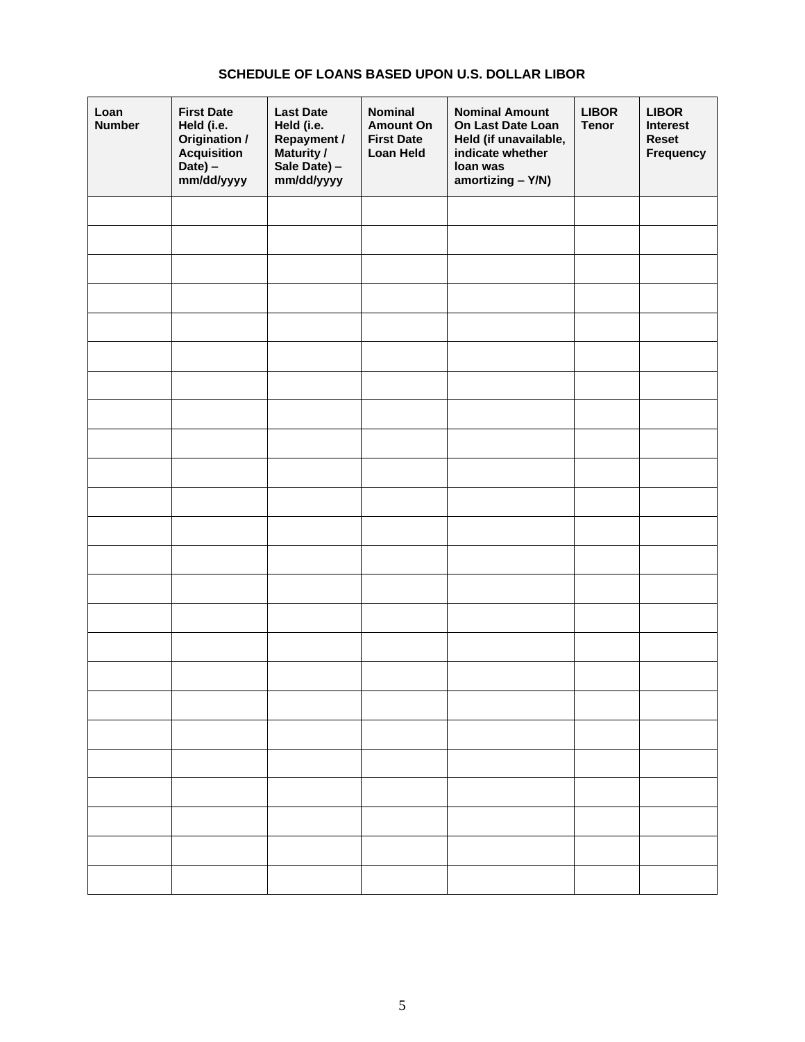# **SCHEDULE OF LOANS BASED UPON U.S. DOLLAR LIBOR**

| Loan<br><b>Number</b> | <b>First Date</b><br>Held (i.e.<br>Origination /<br>Acquisition<br>Date) -<br>mm/dd/yyyy | <b>Last Date</b><br>Held (i.e.<br>Repayment /<br>Maturity /<br>Sale Date) -<br>mm/dd/yyyy | <b>Nominal</b><br><b>Amount On</b><br><b>First Date</b><br>Loan Held | <b>Nominal Amount</b><br>On Last Date Loan<br>Held (if unavailable,<br>indicate whether<br>loan was<br>amortizing - Y/N) | <b>LIBOR</b><br><b>Tenor</b> | <b>LIBOR</b><br>Interest<br><b>Reset</b><br><b>Frequency</b> |
|-----------------------|------------------------------------------------------------------------------------------|-------------------------------------------------------------------------------------------|----------------------------------------------------------------------|--------------------------------------------------------------------------------------------------------------------------|------------------------------|--------------------------------------------------------------|
|                       |                                                                                          |                                                                                           |                                                                      |                                                                                                                          |                              |                                                              |
|                       |                                                                                          |                                                                                           |                                                                      |                                                                                                                          |                              |                                                              |
|                       |                                                                                          |                                                                                           |                                                                      |                                                                                                                          |                              |                                                              |
|                       |                                                                                          |                                                                                           |                                                                      |                                                                                                                          |                              |                                                              |
|                       |                                                                                          |                                                                                           |                                                                      |                                                                                                                          |                              |                                                              |
|                       |                                                                                          |                                                                                           |                                                                      |                                                                                                                          |                              |                                                              |
|                       |                                                                                          |                                                                                           |                                                                      |                                                                                                                          |                              |                                                              |
|                       |                                                                                          |                                                                                           |                                                                      |                                                                                                                          |                              |                                                              |
|                       |                                                                                          |                                                                                           |                                                                      |                                                                                                                          |                              |                                                              |
|                       |                                                                                          |                                                                                           |                                                                      |                                                                                                                          |                              |                                                              |
|                       |                                                                                          |                                                                                           |                                                                      |                                                                                                                          |                              |                                                              |
|                       |                                                                                          |                                                                                           |                                                                      |                                                                                                                          |                              |                                                              |
|                       |                                                                                          |                                                                                           |                                                                      |                                                                                                                          |                              |                                                              |
|                       |                                                                                          |                                                                                           |                                                                      |                                                                                                                          |                              |                                                              |
|                       |                                                                                          |                                                                                           |                                                                      |                                                                                                                          |                              |                                                              |
|                       |                                                                                          |                                                                                           |                                                                      |                                                                                                                          |                              |                                                              |
|                       |                                                                                          |                                                                                           |                                                                      |                                                                                                                          |                              |                                                              |
|                       |                                                                                          |                                                                                           |                                                                      |                                                                                                                          |                              |                                                              |
|                       |                                                                                          |                                                                                           |                                                                      |                                                                                                                          |                              |                                                              |
|                       |                                                                                          |                                                                                           |                                                                      |                                                                                                                          |                              |                                                              |
|                       |                                                                                          |                                                                                           |                                                                      |                                                                                                                          |                              |                                                              |
|                       |                                                                                          |                                                                                           |                                                                      |                                                                                                                          |                              |                                                              |
|                       |                                                                                          |                                                                                           |                                                                      |                                                                                                                          |                              |                                                              |
|                       |                                                                                          |                                                                                           |                                                                      |                                                                                                                          |                              |                                                              |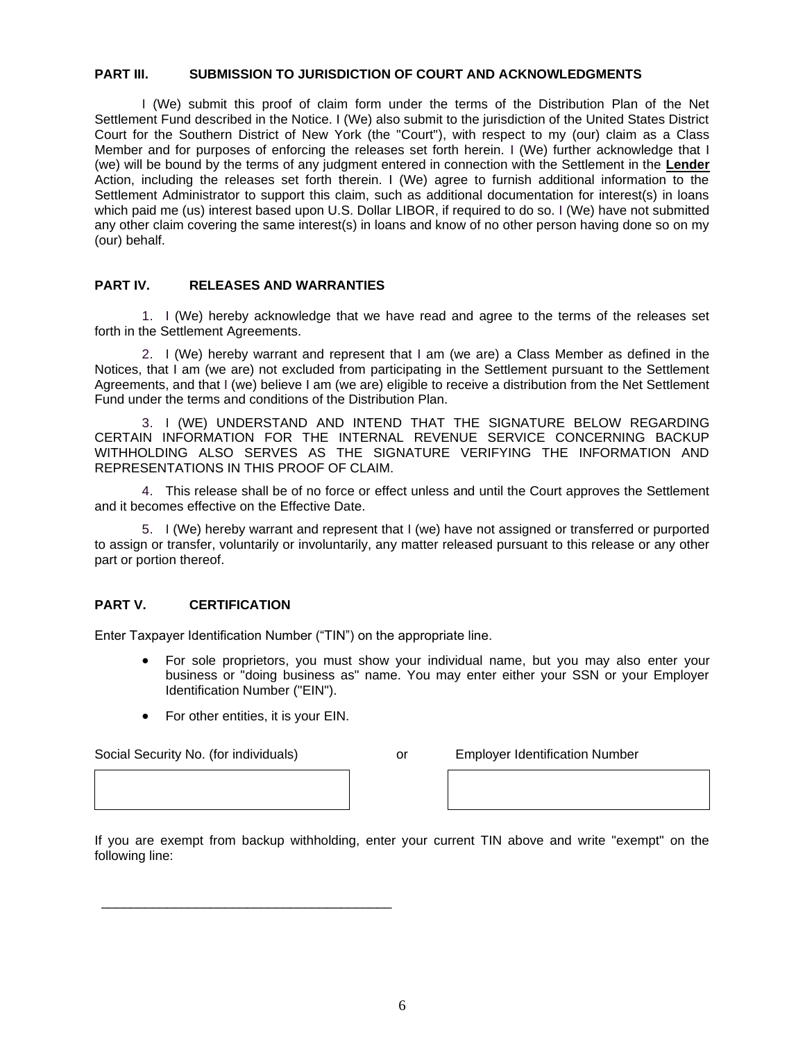## **PART III. SUBMISSION TO JURISDICTION OF COURT AND ACKNOWLEDGMENTS**

I (We) submit this proof of claim form under the terms of the Distribution Plan of the Net Settlement Fund described in the Notice. I (We) also submit to the jurisdiction of the United States District Court for the Southern District of New York (the "Court"), with respect to my (our) claim as a Class Member and for purposes of enforcing the releases set forth herein. I (We) further acknowledge that I (we) will be bound by the terms of any judgment entered in connection with the Settlement in the **Lender**  Action, including the releases set forth therein. I (We) agree to furnish additional information to the Settlement Administrator to support this claim, such as additional documentation for interest(s) in loans which paid me (us) interest based upon U.S. Dollar LIBOR, if required to do so. I (We) have not submitted any other claim covering the same interest(s) in loans and know of no other person having done so on my (our) behalf.

# **PART IV. RELEASES AND WARRANTIES**

1. I (We) hereby acknowledge that we have read and agree to the terms of the releases set forth in the Settlement Agreements.

2. I (We) hereby warrant and represent that I am (we are) a Class Member as defined in the Notices, that I am (we are) not excluded from participating in the Settlement pursuant to the Settlement Agreements, and that I (we) believe I am (we are) eligible to receive a distribution from the Net Settlement Fund under the terms and conditions of the Distribution Plan.

3. I (WE) UNDERSTAND AND INTEND THAT THE SIGNATURE BELOW REGARDING CERTAIN INFORMATION FOR THE INTERNAL REVENUE SERVICE CONCERNING BACKUP WITHHOLDING ALSO SERVES AS THE SIGNATURE VERIFYING THE INFORMATION AND REPRESENTATIONS IN THIS PROOF OF CLAIM.

4. This release shall be of no force or effect unless and until the Court approves the Settlement and it becomes effective on the Effective Date.

5. I (We) hereby warrant and represent that I (we) have not assigned or transferred or purported to assign or transfer, voluntarily or involuntarily, any matter released pursuant to this release or any other part or portion thereof.

#### **PART V. CERTIFICATION**

Enter Taxpayer Identification Number ("TIN") on the appropriate line.

- For sole proprietors, you must show your individual name, but you may also enter your business or "doing business as" name. You may enter either your SSN or your Employer Identification Number ("EIN").
- For other entities, it is your EIN.

\_\_\_\_\_\_\_\_\_\_\_\_\_\_\_\_\_\_\_\_\_\_\_\_\_\_\_\_\_\_\_\_\_\_\_\_\_\_\_\_

Social Security No. (for individuals) or Employer Identification Number

If you are exempt from backup withholding, enter your current TIN above and write "exempt" on the following line: